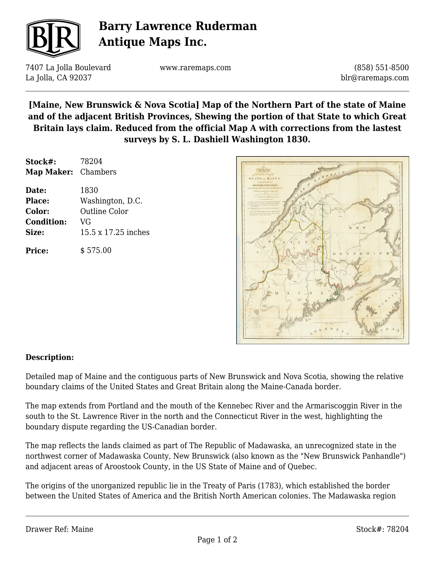

# **Barry Lawrence Ruderman Antique Maps Inc.**

7407 La Jolla Boulevard La Jolla, CA 92037

www.raremaps.com

(858) 551-8500 blr@raremaps.com

### **[Maine, New Brunswick & Nova Scotia] Map of the Northern Part of the state of Maine and of the adjacent British Provinces, Shewing the portion of that State to which Great Britain lays claim. Reduced from the official Map A with corrections from the lastest surveys by S. L. Dashiell Washington 1830.**

| Stock#:             | 78204               |
|---------------------|---------------------|
| Map Maker: Chambers |                     |
| Date:               | 1830                |
| Place:              | Washington, D.C.    |
| Color:              | Outline Color       |
| <b>Condition:</b>   | VG                  |
| Size:               | 15.5 x 17.25 inches |
| Price:              | \$575.00            |



#### **Description:**

Detailed map of Maine and the contiguous parts of New Brunswick and Nova Scotia, showing the relative boundary claims of the United States and Great Britain along the Maine-Canada border.

The map extends from Portland and the mouth of the Kennebec River and the Armariscoggin River in the south to the St. Lawrence River in the north and the Connecticut River in the west, highlighting the boundary dispute regarding the US-Canadian border.

The map reflects the lands claimed as part of The Republic of Madawaska, an unrecognized state in the northwest corner of Madawaska County, New Brunswick (also known as the "New Brunswick Panhandle") and adjacent areas of Aroostook County, in the US State of Maine and of Quebec.

The origins of the unorganized republic lie in the Treaty of Paris (1783), which established the border between the United States of America and the British North American colonies. The Madawaska region